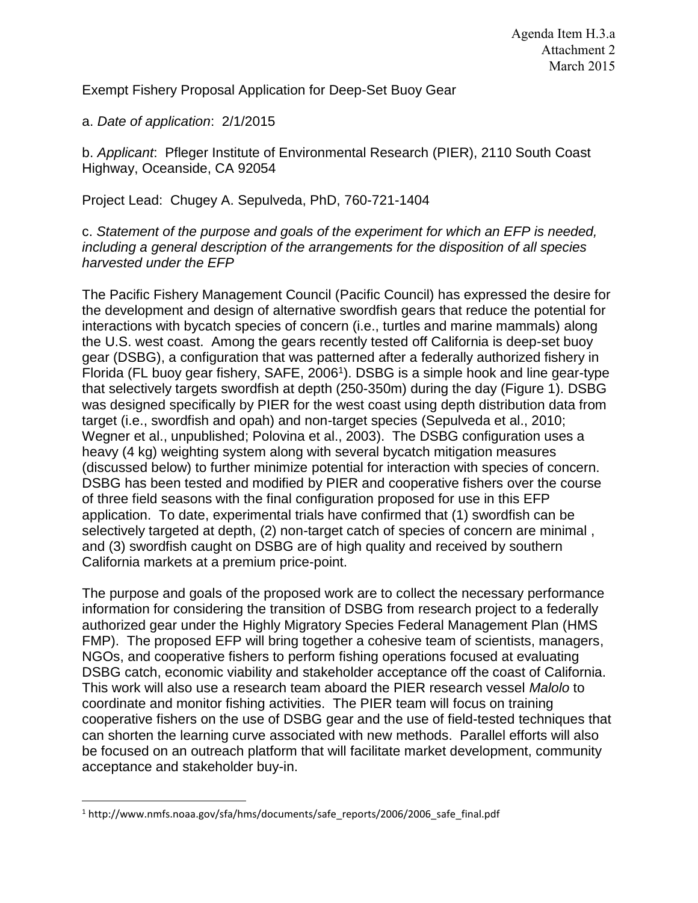Exempt Fishery Proposal Application for Deep-Set Buoy Gear

a. *Date of application*: 2/1/2015

b. *Applicant*: Pfleger Institute of Environmental Research (PIER), 2110 South Coast Highway, Oceanside, CA 92054

Project Lead: Chugey A. Sepulveda, PhD, 760-721-1404

c. *Statement of the purpose and goals of the experiment for which an EFP is needed, including a general description of the arrangements for the disposition of all species harvested under the EFP* 

The Pacific Fishery Management Council (Pacific Council) has expressed the desire for the development and design of alternative swordfish gears that reduce the potential for interactions with bycatch species of concern (i.e., turtles and marine mammals) along the U.S. west coast. Among the gears recently tested off California is deep-set buoy gear (DSBG), a configuration that was patterned after a federally authorized fishery in Florida (FL buoy gear fishery, SAFE, 2006<sup>1</sup>). DSBG is a simple hook and line gear-type that selectively targets swordfish at depth (250-350m) during the day (Figure 1). DSBG was designed specifically by PIER for the west coast using depth distribution data from target (i.e., swordfish and opah) and non-target species (Sepulveda et al., 2010; Wegner et al., unpublished; Polovina et al., 2003). The DSBG configuration uses a heavy (4 kg) weighting system along with several bycatch mitigation measures (discussed below) to further minimize potential for interaction with species of concern. DSBG has been tested and modified by PIER and cooperative fishers over the course of three field seasons with the final configuration proposed for use in this EFP application. To date, experimental trials have confirmed that (1) swordfish can be selectively targeted at depth, (2) non-target catch of species of concern are minimal , and (3) swordfish caught on DSBG are of high quality and received by southern California markets at a premium price-point.

The purpose and goals of the proposed work are to collect the necessary performance information for considering the transition of DSBG from research project to a federally authorized gear under the Highly Migratory Species Federal Management Plan (HMS FMP). The proposed EFP will bring together a cohesive team of scientists, managers, NGOs, and cooperative fishers to perform fishing operations focused at evaluating DSBG catch, economic viability and stakeholder acceptance off the coast of California. This work will also use a research team aboard the PIER research vessel *Malolo* to coordinate and monitor fishing activities. The PIER team will focus on training cooperative fishers on the use of DSBG gear and the use of field-tested techniques that can shorten the learning curve associated with new methods. Parallel efforts will also be focused on an outreach platform that will facilitate market development, community acceptance and stakeholder buy-in.

 $\overline{\phantom{a}}$ 1 http://www.nmfs.noaa.gov/sfa/hms/documents/safe\_reports/2006/2006\_safe\_final.pdf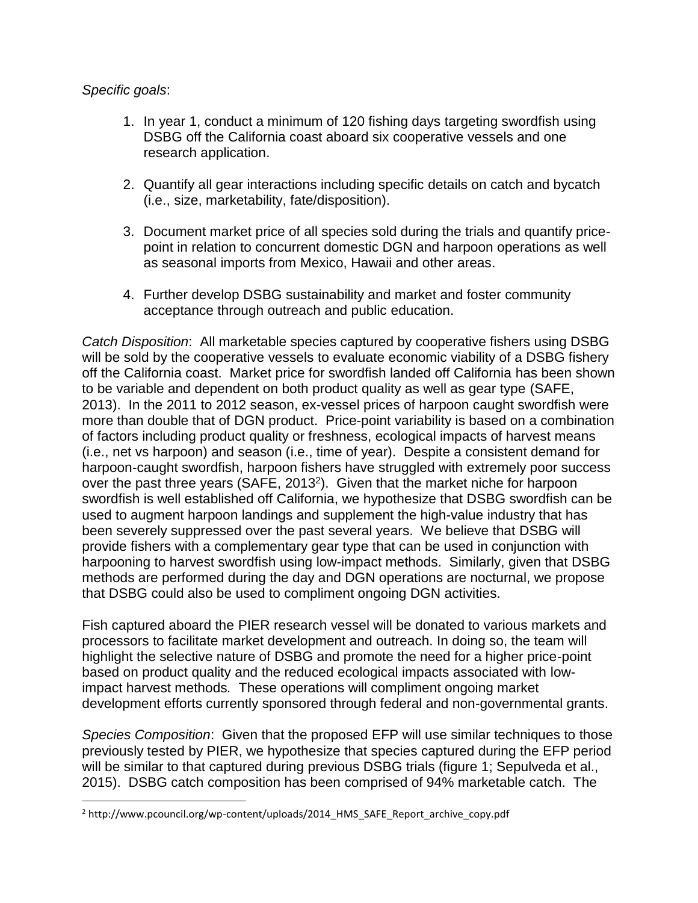# *Specific goals*:

 $\overline{\phantom{a}}$ 

- 1. In year 1, conduct a minimum of 120 fishing days targeting swordfish using DSBG off the California coast aboard six cooperative vessels and one research application.
- 2. Quantify all gear interactions including specific details on catch and bycatch (i.e., size, marketability, fate/disposition).
- 3. Document market price of all species sold during the trials and quantify pricepoint in relation to concurrent domestic DGN and harpoon operations as well as seasonal imports from Mexico, Hawaii and other areas.
- 4. Further develop DSBG sustainability and market and foster community acceptance through outreach and public education.

*Catch Disposition*: All marketable species captured by cooperative fishers using DSBG will be sold by the cooperative vessels to evaluate economic viability of a DSBG fishery off the California coast. Market price for swordfish landed off California has been shown to be variable and dependent on both product quality as well as gear type (SAFE, 2013). In the 2011 to 2012 season, ex-vessel prices of harpoon caught swordfish were more than double that of DGN product. Price-point variability is based on a combination of factors including product quality or freshness, ecological impacts of harvest means (i.e., net vs harpoon) and season (i.e., time of year). Despite a consistent demand for harpoon-caught swordfish, harpoon fishers have struggled with extremely poor success over the past three years (SAFE, 2013<sup>2</sup>). Given that the market niche for harpoon swordfish is well established off California, we hypothesize that DSBG swordfish can be used to augment harpoon landings and supplement the high-value industry that has been severely suppressed over the past several years. We believe that DSBG will provide fishers with a complementary gear type that can be used in conjunction with harpooning to harvest swordfish using low-impact methods. Similarly, given that DSBG methods are performed during the day and DGN operations are nocturnal, we propose that DSBG could also be used to compliment ongoing DGN activities.

Fish captured aboard the PIER research vessel will be donated to various markets and processors to facilitate market development and outreach. In doing so, the team will highlight the selective nature of DSBG and promote the need for a higher price-point based on product quality and the reduced ecological impacts associated with lowimpact harvest methods*.* These operations will compliment ongoing market development efforts currently sponsored through federal and non-governmental grants.

*Species Composition*: Given that the proposed EFP will use similar techniques to those previously tested by PIER, we hypothesize that species captured during the EFP period will be similar to that captured during previous DSBG trials (figure 1; Sepulveda et al., 2015). DSBG catch composition has been comprised of 94% marketable catch. The

<sup>&</sup>lt;sup>2</sup> http://www.pcouncil.org/wp-content/uploads/2014\_HMS\_SAFE\_Report\_archive\_copy.pdf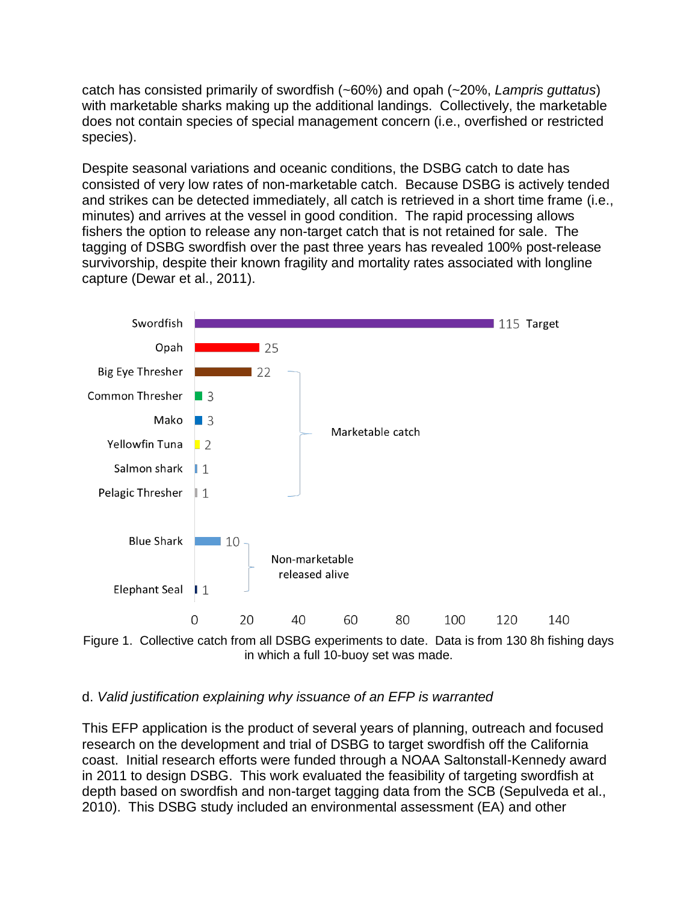catch has consisted primarily of swordfish (~60%) and opah (~20%, *Lampris guttatus*) with marketable sharks making up the additional landings. Collectively, the marketable does not contain species of special management concern (i.e., overfished or restricted species).

Despite seasonal variations and oceanic conditions, the DSBG catch to date has consisted of very low rates of non-marketable catch. Because DSBG is actively tended and strikes can be detected immediately, all catch is retrieved in a short time frame (i.e., minutes) and arrives at the vessel in good condition. The rapid processing allows fishers the option to release any non-target catch that is not retained for sale. The tagging of DSBG swordfish over the past three years has revealed 100% post-release survivorship, despite their known fragility and mortality rates associated with longline capture (Dewar et al., 2011).



Figure 1. Collective catch from all DSBG experiments to date. Data is from 130 8h fishing days in which a full 10-buoy set was made.

## d. *Valid justification explaining why issuance of an EFP is warranted*

This EFP application is the product of several years of planning, outreach and focused research on the development and trial of DSBG to target swordfish off the California coast. Initial research efforts were funded through a NOAA Saltonstall-Kennedy award in 2011 to design DSBG. This work evaluated the feasibility of targeting swordfish at depth based on swordfish and non-target tagging data from the SCB (Sepulveda et al., 2010). This DSBG study included an environmental assessment (EA) and other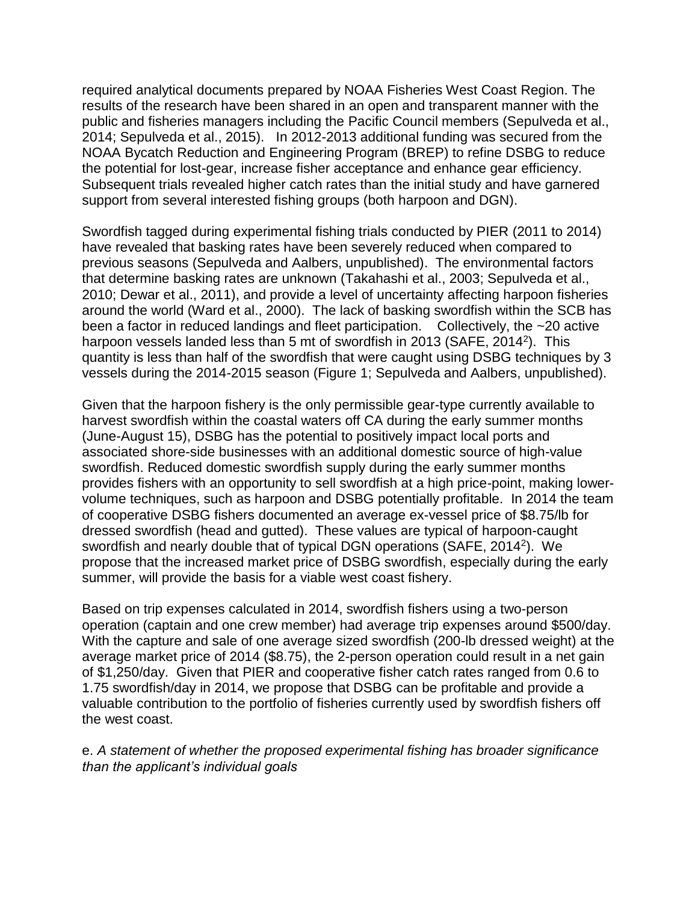required analytical documents prepared by NOAA Fisheries West Coast Region. The results of the research have been shared in an open and transparent manner with the public and fisheries managers including the Pacific Council members (Sepulveda et al., 2014; Sepulveda et al., 2015). In 2012-2013 additional funding was secured from the NOAA Bycatch Reduction and Engineering Program (BREP) to refine DSBG to reduce the potential for lost-gear, increase fisher acceptance and enhance gear efficiency. Subsequent trials revealed higher catch rates than the initial study and have garnered support from several interested fishing groups (both harpoon and DGN).

Swordfish tagged during experimental fishing trials conducted by PIER (2011 to 2014) have revealed that basking rates have been severely reduced when compared to previous seasons (Sepulveda and Aalbers, unpublished). The environmental factors that determine basking rates are unknown (Takahashi et al., 2003; Sepulveda et al., 2010; Dewar et al., 2011), and provide a level of uncertainty affecting harpoon fisheries around the world (Ward et al., 2000). The lack of basking swordfish within the SCB has been a factor in reduced landings and fleet participation. Collectively, the ~20 active harpoon vessels landed less than 5 mt of swordfish in 2013 (SAFE, 2014<sup>2</sup>). This quantity is less than half of the swordfish that were caught using DSBG techniques by 3 vessels during the 2014-2015 season (Figure 1; Sepulveda and Aalbers, unpublished).

Given that the harpoon fishery is the only permissible gear-type currently available to harvest swordfish within the coastal waters off CA during the early summer months (June-August 15), DSBG has the potential to positively impact local ports and associated shore-side businesses with an additional domestic source of high-value swordfish. Reduced domestic swordfish supply during the early summer months provides fishers with an opportunity to sell swordfish at a high price-point, making lowervolume techniques, such as harpoon and DSBG potentially profitable. In 2014 the team of cooperative DSBG fishers documented an average ex-vessel price of \$8.75/lb for dressed swordfish (head and gutted). These values are typical of harpoon-caught swordfish and nearly double that of typical DGN operations (SAFE, 2014<sup>2</sup>). We propose that the increased market price of DSBG swordfish, especially during the early summer, will provide the basis for a viable west coast fishery.

Based on trip expenses calculated in 2014, swordfish fishers using a two-person operation (captain and one crew member) had average trip expenses around \$500/day. With the capture and sale of one average sized swordfish (200-lb dressed weight) at the average market price of 2014 (\$8.75), the 2-person operation could result in a net gain of \$1,250/day. Given that PIER and cooperative fisher catch rates ranged from 0.6 to 1.75 swordfish/day in 2014, we propose that DSBG can be profitable and provide a valuable contribution to the portfolio of fisheries currently used by swordfish fishers off the west coast.

e. *A statement of whether the proposed experimental fishing has broader significance than the applicant's individual goals*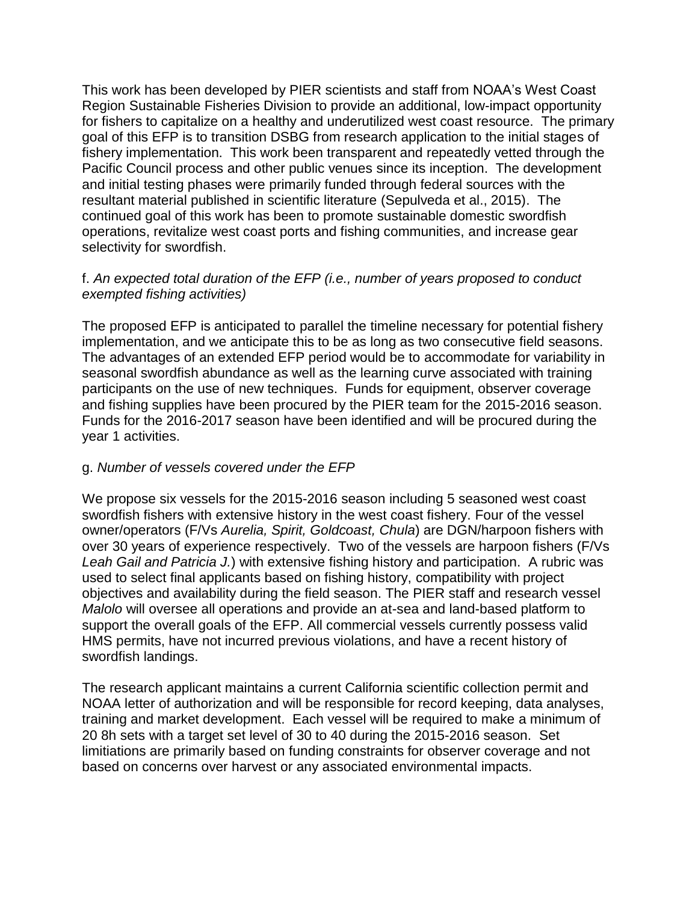This work has been developed by PIER scientists and staff from NOAA's West Coast Region Sustainable Fisheries Division to provide an additional, low-impact opportunity for fishers to capitalize on a healthy and underutilized west coast resource. The primary goal of this EFP is to transition DSBG from research application to the initial stages of fishery implementation. This work been transparent and repeatedly vetted through the Pacific Council process and other public venues since its inception. The development and initial testing phases were primarily funded through federal sources with the resultant material published in scientific literature (Sepulveda et al., 2015). The continued goal of this work has been to promote sustainable domestic swordfish operations, revitalize west coast ports and fishing communities, and increase gear selectivity for swordfish.

# f. *An expected total duration of the EFP (i.e., number of years proposed to conduct exempted fishing activities)*

The proposed EFP is anticipated to parallel the timeline necessary for potential fishery implementation, and we anticipate this to be as long as two consecutive field seasons. The advantages of an extended EFP period would be to accommodate for variability in seasonal swordfish abundance as well as the learning curve associated with training participants on the use of new techniques. Funds for equipment, observer coverage and fishing supplies have been procured by the PIER team for the 2015-2016 season. Funds for the 2016-2017 season have been identified and will be procured during the year 1 activities.

## g. *Number of vessels covered under the EFP*

We propose six vessels for the 2015-2016 season including 5 seasoned west coast swordfish fishers with extensive history in the west coast fishery. Four of the vessel owner/operators (F/Vs *Aurelia, Spirit, Goldcoast, Chula*) are DGN/harpoon fishers with over 30 years of experience respectively. Two of the vessels are harpoon fishers (F/Vs *Leah Gail and Patricia J.*) with extensive fishing history and participation. A rubric was used to select final applicants based on fishing history, compatibility with project objectives and availability during the field season. The PIER staff and research vessel *Malolo* will oversee all operations and provide an at-sea and land-based platform to support the overall goals of the EFP. All commercial vessels currently possess valid HMS permits, have not incurred previous violations, and have a recent history of swordfish landings.

The research applicant maintains a current California scientific collection permit and NOAA letter of authorization and will be responsible for record keeping, data analyses, training and market development. Each vessel will be required to make a minimum of 20 8h sets with a target set level of 30 to 40 during the 2015-2016 season. Set limitiations are primarily based on funding constraints for observer coverage and not based on concerns over harvest or any associated environmental impacts.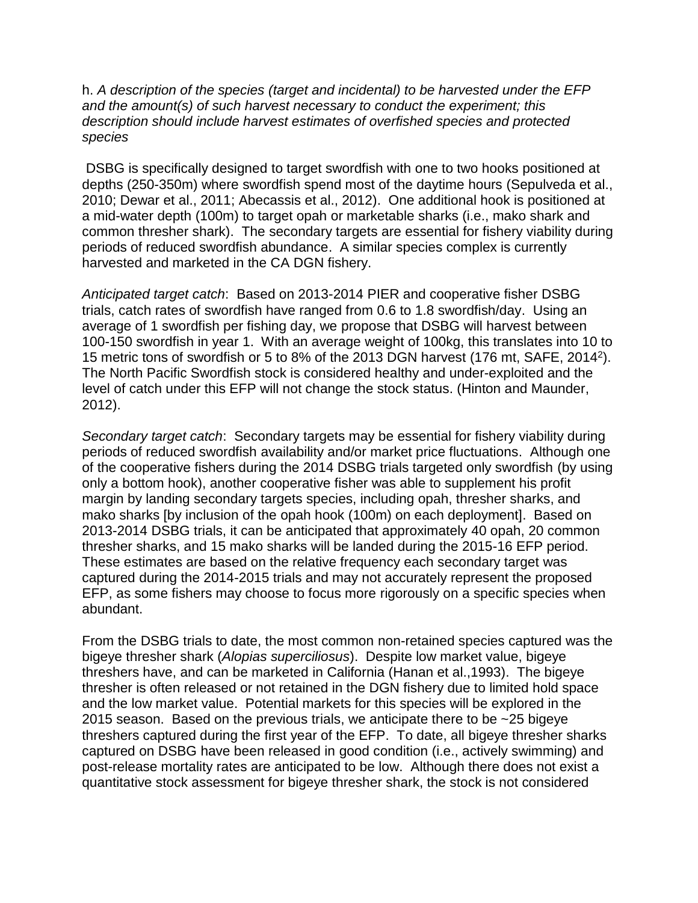h. *A description of the species (target and incidental) to be harvested under the EFP and the amount(s) of such harvest necessary to conduct the experiment; this description should include harvest estimates of overfished species and protected species*

DSBG is specifically designed to target swordfish with one to two hooks positioned at depths (250-350m) where swordfish spend most of the daytime hours (Sepulveda et al., 2010; Dewar et al., 2011; Abecassis et al., 2012). One additional hook is positioned at a mid-water depth (100m) to target opah or marketable sharks (i.e., mako shark and common thresher shark). The secondary targets are essential for fishery viability during periods of reduced swordfish abundance. A similar species complex is currently harvested and marketed in the CA DGN fishery.

*Anticipated target catch*: Based on 2013-2014 PIER and cooperative fisher DSBG trials, catch rates of swordfish have ranged from 0.6 to 1.8 swordfish/day. Using an average of 1 swordfish per fishing day, we propose that DSBG will harvest between 100-150 swordfish in year 1. With an average weight of 100kg, this translates into 10 to 15 metric tons of swordfish or 5 to 8% of the 2013 DGN harvest (176 mt, SAFE, 2014<sup>2</sup> ). The North Pacific Swordfish stock is considered healthy and under-exploited and the level of catch under this EFP will not change the stock status. (Hinton and Maunder, 2012).

*Secondary target catch*: Secondary targets may be essential for fishery viability during periods of reduced swordfish availability and/or market price fluctuations. Although one of the cooperative fishers during the 2014 DSBG trials targeted only swordfish (by using only a bottom hook), another cooperative fisher was able to supplement his profit margin by landing secondary targets species, including opah, thresher sharks, and mako sharks [by inclusion of the opah hook (100m) on each deployment]. Based on 2013-2014 DSBG trials, it can be anticipated that approximately 40 opah, 20 common thresher sharks, and 15 mako sharks will be landed during the 2015-16 EFP period. These estimates are based on the relative frequency each secondary target was captured during the 2014-2015 trials and may not accurately represent the proposed EFP, as some fishers may choose to focus more rigorously on a specific species when abundant.

From the DSBG trials to date, the most common non-retained species captured was the bigeye thresher shark (*Alopias superciliosus*). Despite low market value, bigeye threshers have, and can be marketed in California (Hanan et al.,1993). The bigeye thresher is often released or not retained in the DGN fishery due to limited hold space and the low market value. Potential markets for this species will be explored in the 2015 season. Based on the previous trials, we anticipate there to be ~25 bigeye threshers captured during the first year of the EFP. To date, all bigeye thresher sharks captured on DSBG have been released in good condition (i.e., actively swimming) and post-release mortality rates are anticipated to be low. Although there does not exist a quantitative stock assessment for bigeye thresher shark, the stock is not considered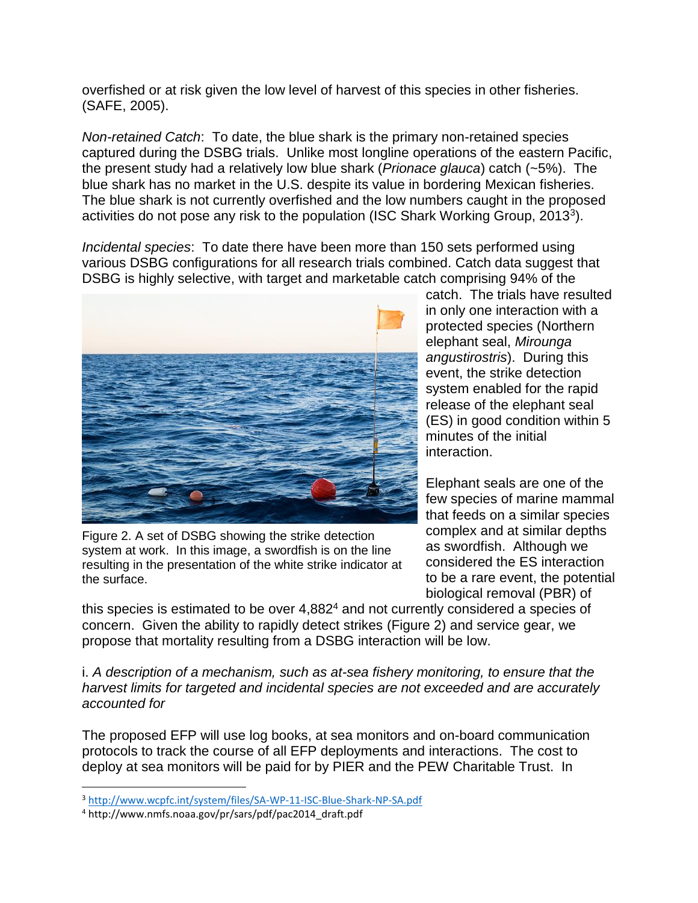overfished or at risk given the low level of harvest of this species in other fisheries. (SAFE, 2005).

*Non-retained Catch*: To date, the blue shark is the primary non-retained species captured during the DSBG trials. Unlike most longline operations of the eastern Pacific, the present study had a relatively low blue shark (*Prionace glauca*) catch (~5%). The blue shark has no market in the U.S. despite its value in bordering Mexican fisheries. The blue shark is not currently overfished and the low numbers caught in the proposed activities do not pose any risk to the population (ISC Shark Working Group, 2013<sup>3</sup>).

*Incidental species*: To date there have been more than 150 sets performed using various DSBG configurations for all research trials combined. Catch data suggest that DSBG is highly selective, with target and marketable catch comprising 94% of the



Figure 2. A set of DSBG showing the strike detection system at work. In this image, a swordfish is on the line resulting in the presentation of the white strike indicator at the surface.

catch. The trials have resulted in only one interaction with a protected species (Northern elephant seal, *Mirounga angustirostris*). During this event, the strike detection system enabled for the rapid release of the elephant seal (ES) in good condition within 5 minutes of the initial interaction.

Elephant seals are one of the few species of marine mammal that feeds on a similar species complex and at similar depths as swordfish. Although we considered the ES interaction to be a rare event, the potential biological removal (PBR) of

this species is estimated to be over 4,882<sup>4</sup> and not currently considered a species of concern. Given the ability to rapidly detect strikes (Figure 2) and service gear, we propose that mortality resulting from a DSBG interaction will be low.

i. *A description of a mechanism, such as at-sea fishery monitoring, to ensure that the harvest limits for targeted and incidental species are not exceeded and are accurately accounted for*

The proposed EFP will use log books, at sea monitors and on-board communication protocols to track the course of all EFP deployments and interactions. The cost to deploy at sea monitors will be paid for by PIER and the PEW Charitable Trust. In

l

<sup>3</sup> <http://www.wcpfc.int/system/files/SA-WP-11-ISC-Blue-Shark-NP-SA.pdf>

<sup>4</sup> http://www.nmfs.noaa.gov/pr/sars/pdf/pac2014\_draft.pdf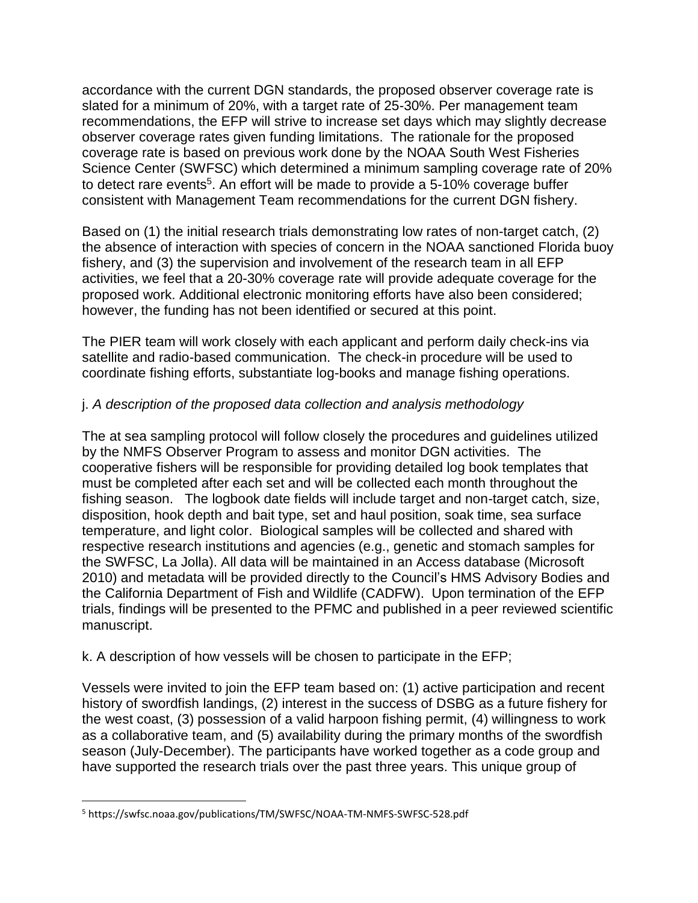accordance with the current DGN standards, the proposed observer coverage rate is slated for a minimum of 20%, with a target rate of 25-30%. Per management team recommendations, the EFP will strive to increase set days which may slightly decrease observer coverage rates given funding limitations. The rationale for the proposed coverage rate is based on previous work done by the NOAA South West Fisheries Science Center (SWFSC) which determined a minimum sampling coverage rate of 20% to detect rare events<sup>5</sup>. An effort will be made to provide a 5-10% coverage buffer consistent with Management Team recommendations for the current DGN fishery.

Based on (1) the initial research trials demonstrating low rates of non-target catch, (2) the absence of interaction with species of concern in the NOAA sanctioned Florida buoy fishery, and (3) the supervision and involvement of the research team in all EFP activities, we feel that a 20-30% coverage rate will provide adequate coverage for the proposed work. Additional electronic monitoring efforts have also been considered; however, the funding has not been identified or secured at this point.

The PIER team will work closely with each applicant and perform daily check-ins via satellite and radio-based communication. The check-in procedure will be used to coordinate fishing efforts, substantiate log-books and manage fishing operations.

# j. *A description of the proposed data collection and analysis methodology*

The at sea sampling protocol will follow closely the procedures and guidelines utilized by the NMFS Observer Program to assess and monitor DGN activities. The cooperative fishers will be responsible for providing detailed log book templates that must be completed after each set and will be collected each month throughout the fishing season. The logbook date fields will include target and non-target catch, size, disposition, hook depth and bait type, set and haul position, soak time, sea surface temperature, and light color. Biological samples will be collected and shared with respective research institutions and agencies (e.g., genetic and stomach samples for the SWFSC, La Jolla). All data will be maintained in an Access database (Microsoft 2010) and metadata will be provided directly to the Council's HMS Advisory Bodies and the California Department of Fish and Wildlife (CADFW). Upon termination of the EFP trials, findings will be presented to the PFMC and published in a peer reviewed scientific manuscript.

## k. A description of how vessels will be chosen to participate in the EFP;

Vessels were invited to join the EFP team based on: (1) active participation and recent history of swordfish landings, (2) interest in the success of DSBG as a future fishery for the west coast, (3) possession of a valid harpoon fishing permit, (4) willingness to work as a collaborative team, and (5) availability during the primary months of the swordfish season (July-December). The participants have worked together as a code group and have supported the research trials over the past three years. This unique group of

 $\overline{\phantom{a}}$ 

<sup>5</sup> https://swfsc.noaa.gov/publications/TM/SWFSC/NOAA-TM-NMFS-SWFSC-528.pdf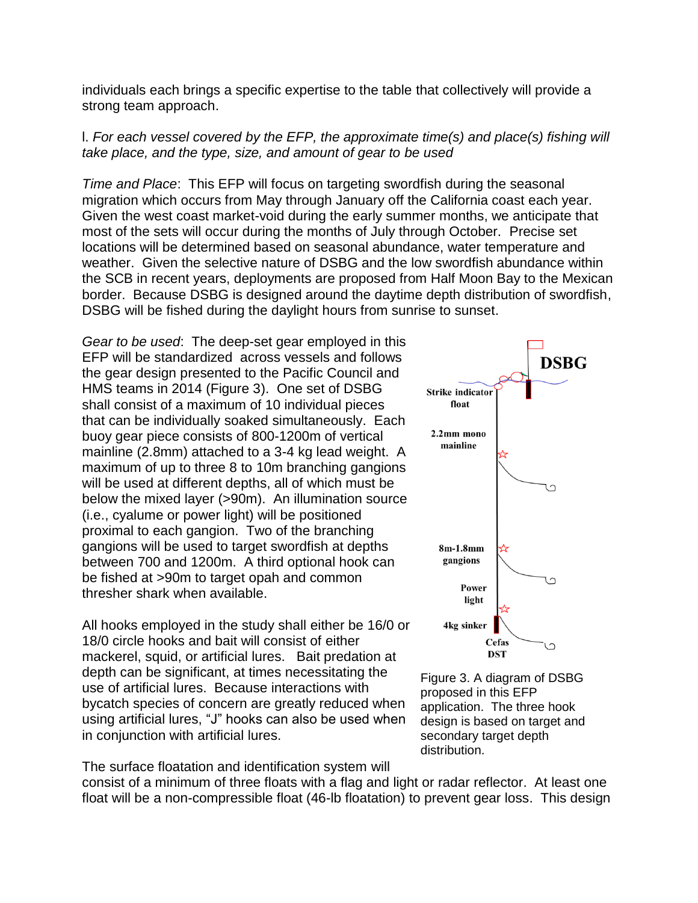individuals each brings a specific expertise to the table that collectively will provide a strong team approach.

## l. *For each vessel covered by the EFP, the approximate time(s) and place(s) fishing will take place, and the type, size, and amount of gear to be used*

*Time and Place*: This EFP will focus on targeting swordfish during the seasonal migration which occurs from May through January off the California coast each year. Given the west coast market-void during the early summer months, we anticipate that most of the sets will occur during the months of July through October. Precise set locations will be determined based on seasonal abundance, water temperature and weather. Given the selective nature of DSBG and the low swordfish abundance within the SCB in recent years, deployments are proposed from Half Moon Bay to the Mexican border. Because DSBG is designed around the daytime depth distribution of swordfish, DSBG will be fished during the daylight hours from sunrise to sunset.

*Gear to be used*: The deep-set gear employed in this EFP will be standardized across vessels and follows the gear design presented to the Pacific Council and HMS teams in 2014 (Figure 3). One set of DSBG shall consist of a maximum of 10 individual pieces that can be individually soaked simultaneously. Each buoy gear piece consists of 800-1200m of vertical mainline (2.8mm) attached to a 3-4 kg lead weight. A maximum of up to three 8 to 10m branching gangions will be used at different depths, all of which must be below the mixed layer (>90m). An illumination source (i.e., cyalume or power light) will be positioned proximal to each gangion. Two of the branching gangions will be used to target swordfish at depths between 700 and 1200m. A third optional hook can be fished at >90m to target opah and common thresher shark when available.

All hooks employed in the study shall either be 16/0 or 18/0 circle hooks and bait will consist of either mackerel, squid, or artificial lures. Bait predation at depth can be significant, at times necessitating the use of artificial lures. Because interactions with bycatch species of concern are greatly reduced when using artificial lures, "J" hooks can also be used when in conjunction with artificial lures.

The surface floatation and identification system will

**DSBG Strike indicator** float 2.2mm mono mainline 8m-1.8mm gangions Power light 4kg sinker Cefas  $\Omega$ **DST** 

Figure 3. A diagram of DSBG proposed in this EFP application. The three hook design is based on target and secondary target depth distribution.

consist of a minimum of three floats with a flag and light or radar reflector. At least one float will be a non-compressible float (46-lb floatation) to prevent gear loss. This design